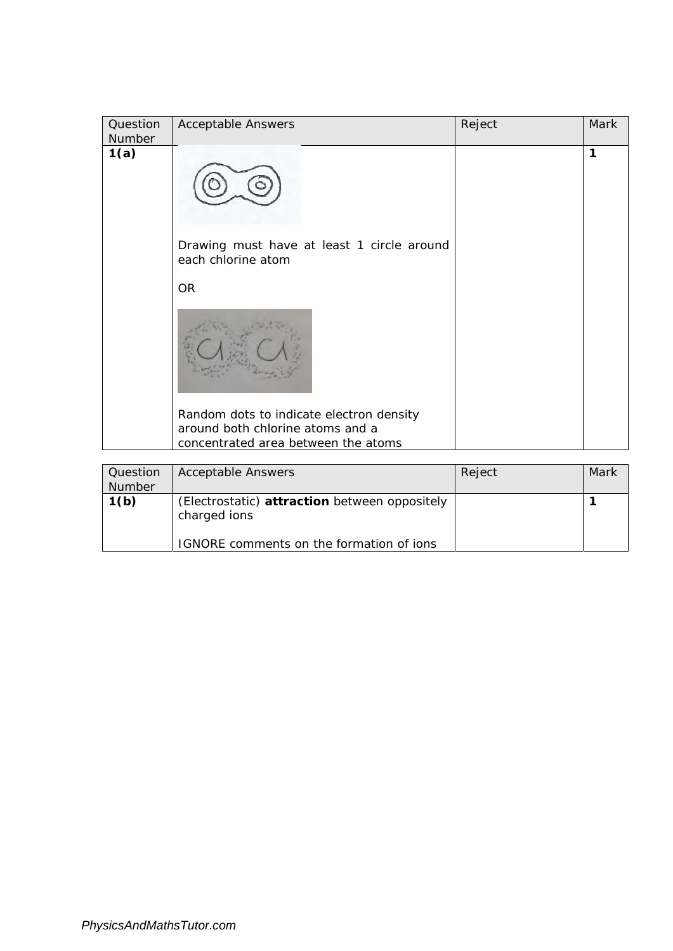| Question<br>Number | <b>Acceptable Answers</b>                                                                                           | Reject | Mark |
|--------------------|---------------------------------------------------------------------------------------------------------------------|--------|------|
| 1(a)               |                                                                                                                     |        | 1    |
|                    | Drawing must have at least 1 circle around<br>each chlorine atom                                                    |        |      |
|                    | <b>OR</b>                                                                                                           |        |      |
|                    |                                                                                                                     |        |      |
|                    | Random dots to indicate electron density<br>around both chlorine atoms and a<br>concentrated area between the atoms |        |      |

| Question<br><b>Number</b> | <b>Acceptable Answers</b>                                     | Reject | Mark |
|---------------------------|---------------------------------------------------------------|--------|------|
| 1(b)                      | (Electrostatic) attraction between oppositely<br>charged ions |        |      |
|                           | IGNORE comments on the formation of ions                      |        |      |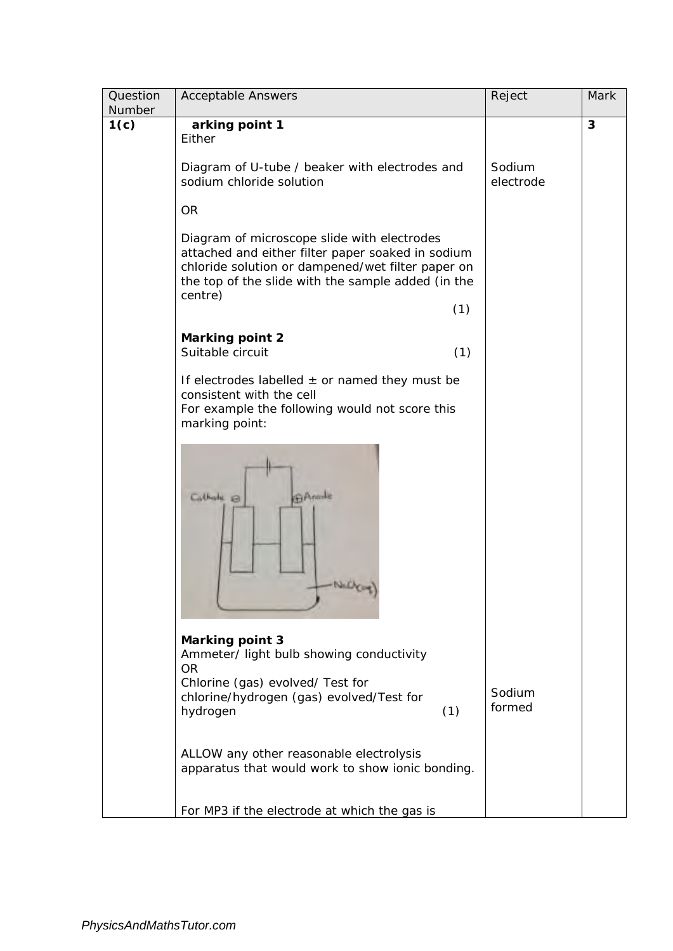| Question<br><b>Number</b> | <b>Acceptable Answers</b>                                                                                                                                                                                              | Reject              | Mark |
|---------------------------|------------------------------------------------------------------------------------------------------------------------------------------------------------------------------------------------------------------------|---------------------|------|
| 1(c)                      | arking point 1<br>Either                                                                                                                                                                                               |                     | 3    |
|                           | Diagram of U-tube / beaker with electrodes and<br>sodium chloride solution                                                                                                                                             | Sodium<br>electrode |      |
|                           | <b>OR</b>                                                                                                                                                                                                              |                     |      |
|                           | Diagram of microscope slide with electrodes<br>attached and either filter paper soaked in sodium<br>chloride solution or dampened/wet filter paper on<br>the top of the slide with the sample added (in the<br>centre) |                     |      |
|                           | (1)                                                                                                                                                                                                                    |                     |      |
|                           | <b>Marking point 2</b><br>Suitable circuit<br>(1)                                                                                                                                                                      |                     |      |
|                           | If electrodes labelled $\pm$ or named they must be<br>consistent with the cell<br>For example the following would not score this<br>marking point:                                                                     |                     |      |
|                           | GAmble<br>$C0$ thate $\otimes$<br>NGC                                                                                                                                                                                  |                     |      |
|                           | <b>Marking point 3</b><br>Ammeter/ light bulb showing conductivity<br><b>OR</b><br>Chlorine (gas) evolved/ Test for<br>chlorine/hydrogen (gas) evolved/Test for<br>(1)<br>hydrogen                                     | Sodium<br>formed    |      |
|                           | ALLOW any other reasonable electrolysis<br>apparatus that would work to show ionic bonding.                                                                                                                            |                     |      |
|                           | For MP3 if the electrode at which the gas is                                                                                                                                                                           |                     |      |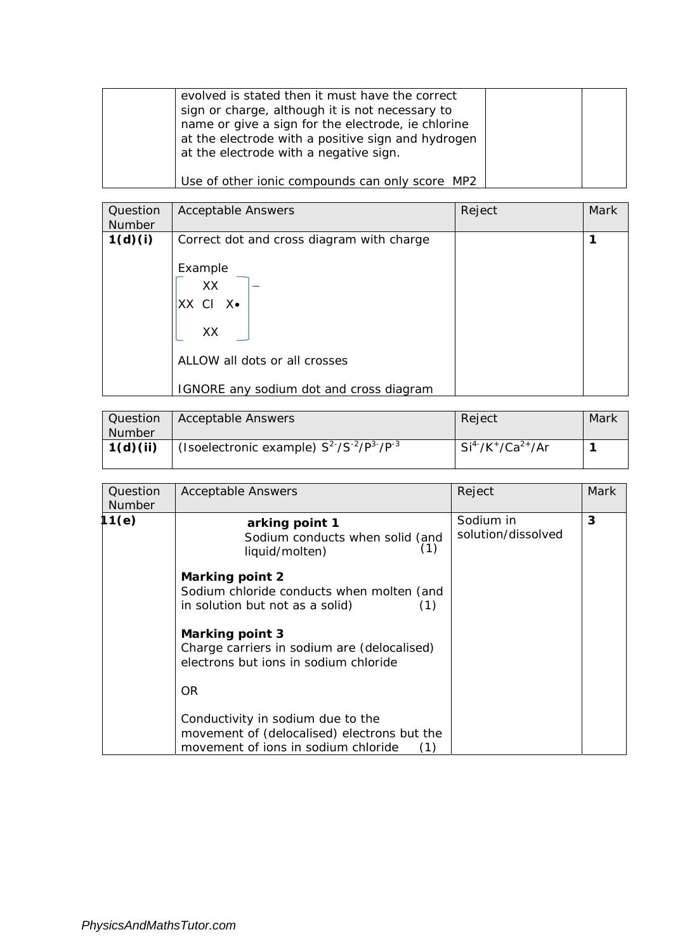| evolved is stated then it must have the correct    |
|----------------------------------------------------|
| sign or charge, although it is not necessary to    |
| name or give a sign for the electrode, ie chlorine |
| at the electrode with a positive sign and hydrogen |
| at the electrode with a negative sign.             |
|                                                    |
| Use of other ionic compounds can only score MP2    |

| Question | <b>Acceptable Answers</b>                 | Reject | Mark |
|----------|-------------------------------------------|--------|------|
| Number   |                                           |        |      |
| 1(d)(i)  | Correct dot and cross diagram with charge |        | 1    |
|          |                                           |        |      |
|          | Example                                   |        |      |
|          | XX                                        |        |      |
|          | XX CI X.                                  |        |      |
|          |                                           |        |      |
|          | XX                                        |        |      |
|          |                                           |        |      |
|          | ALLOW all dots or all crosses             |        |      |
|          |                                           |        |      |
|          | IGNORE any sodium dot and cross diagram   |        |      |

| Question<br><b>Number</b> | <b>Acceptable Answers</b>                         | Reject            | Mark |
|---------------------------|---------------------------------------------------|-------------------|------|
| 1(d)(ii)                  | (Isoelectronic example) $S^2/S^{-2}/P^{3}/P^{-3}$ | $Si4'/K+/Ca2+/Ar$ |      |

| Question<br><b>Number</b> | <b>Acceptable Answers</b>                                                                                                      | Reject                          | Mark |
|---------------------------|--------------------------------------------------------------------------------------------------------------------------------|---------------------------------|------|
| 11(e)                     | arking point 1<br>Sodium conducts when solid (and<br>(1)<br>liquid/molten)                                                     | Sodium in<br>solution/dissolved | 3    |
|                           | Marking point 2<br>Sodium chloride conducts when molten (and<br>in solution but not as a solid)<br>(1)                         |                                 |      |
|                           | <b>Marking point 3</b><br>Charge carriers in sodium are (delocalised)<br>electrons but jons in sodium chloride                 |                                 |      |
|                           | <b>OR</b>                                                                                                                      |                                 |      |
|                           | Conductivity in sodium due to the<br>movement of (delocalised) electrons but the<br>movement of ions in sodium chloride<br>(1) |                                 |      |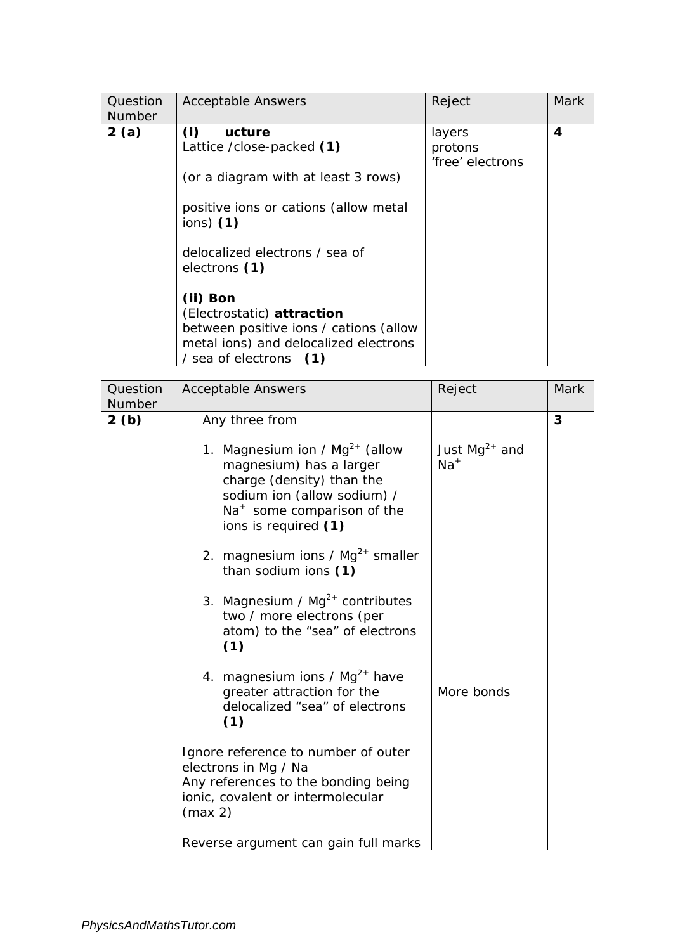| Question<br><b>Number</b> | <b>Acceptable Answers</b>                                                                                                                                                                                                                                                                                                                              | Reject                                | Mark |
|---------------------------|--------------------------------------------------------------------------------------------------------------------------------------------------------------------------------------------------------------------------------------------------------------------------------------------------------------------------------------------------------|---------------------------------------|------|
| 2(a)                      | (i)<br>ucture<br>Lattice /close-packed (1)<br>(or a diagram with at least 3 rows)<br>positive ions or cations (allow metal<br>$ions)$ (1)<br>delocalized electrons / sea of<br>electrons (1)<br>(ii) Bon<br>(Electrostatic) attraction<br>between positive ions / cations (allow<br>metal ions) and delocalized electrons<br>/ sea of electrons<br>(1) | layers<br>protons<br>'free' electrons | 4    |

| Question<br>Number | <b>Acceptable Answers</b>                                                                                                                                                                    | Reject                      | Mark |
|--------------------|----------------------------------------------------------------------------------------------------------------------------------------------------------------------------------------------|-----------------------------|------|
| 2(b)               | Any three from                                                                                                                                                                               |                             | 3    |
|                    | 1. Magnesium ion / $Mg^{2+}$ (allow<br>magnesium) has a larger<br>charge (density) than the<br>sodium ion (allow sodium) /<br>Na <sup>+</sup> some comparison of the<br>ions is required (1) | Just $Mg^{2+}$ and<br>$Na+$ |      |
|                    | 2. magnesium ions / $Mg^{2+}$ smaller<br>than sodium ions (1)                                                                                                                                |                             |      |
|                    | 3. Magnesium / $Mg^{2+}$ contributes<br>two / more electrons (per<br>atom) to the "sea" of electrons<br>(1)                                                                                  |                             |      |
|                    | 4. magnesium ions / $Mg^{2+}$ have<br>greater attraction for the<br>delocalized "sea" of electrons<br>(1)                                                                                    | More bonds                  |      |
|                    | Ignore reference to number of outer<br>electrons in Mg / Na                                                                                                                                  |                             |      |
|                    | Any references to the bonding being<br>ionic, covalent or intermolecular<br>(max 2)                                                                                                          |                             |      |
|                    | Reverse argument can gain full marks                                                                                                                                                         |                             |      |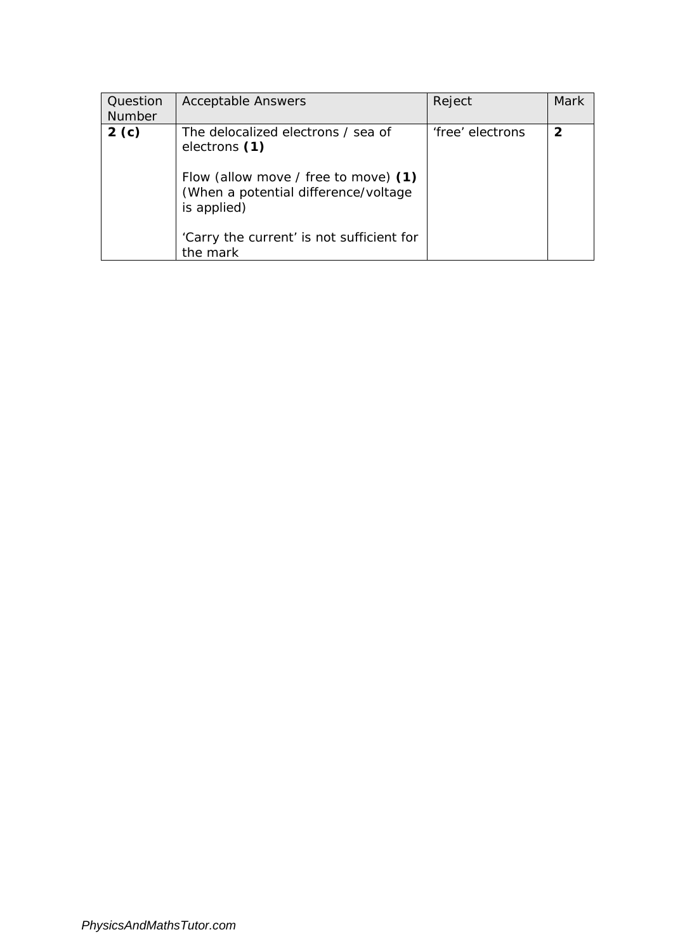| Question<br><b>Number</b> | <b>Acceptable Answers</b>                                                                                                                                                                        | Reject           | Mark         |
|---------------------------|--------------------------------------------------------------------------------------------------------------------------------------------------------------------------------------------------|------------------|--------------|
| 2(c)                      | The delocalized electrons / sea of<br>electrons (1)<br>Flow (allow move / free to move) (1)<br>(When a potential difference/voltage)<br>is applied)<br>'Carry the current' is not sufficient for | 'free' electrons | $\mathbf{2}$ |
|                           | the mark                                                                                                                                                                                         |                  |              |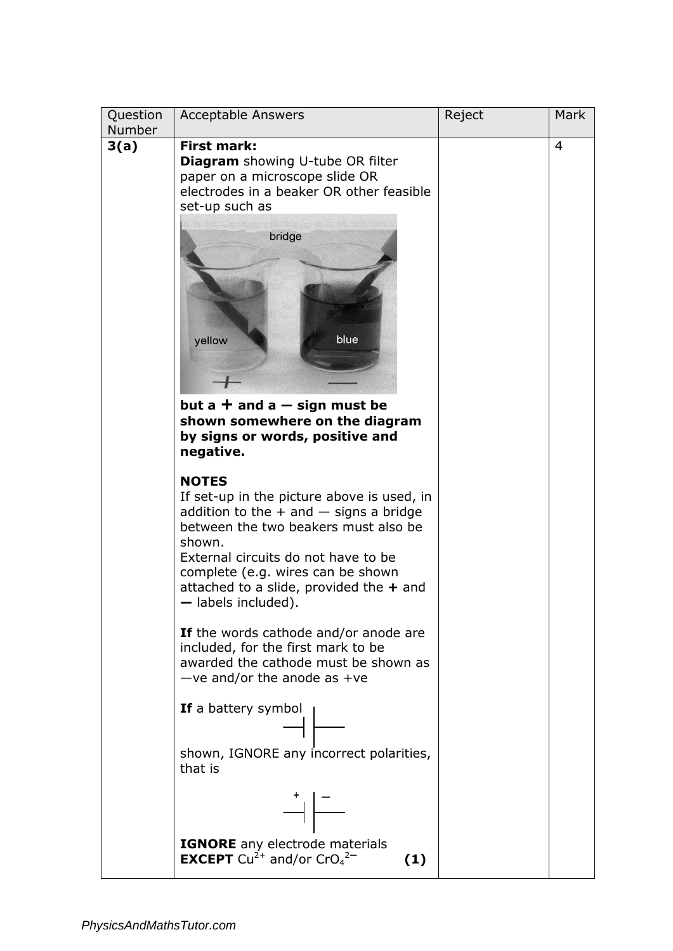| Question<br>Number | <b>Acceptable Answers</b>                                                                                                                                                                                                                                                                                       | Reject | <b>Mark</b>    |
|--------------------|-----------------------------------------------------------------------------------------------------------------------------------------------------------------------------------------------------------------------------------------------------------------------------------------------------------------|--------|----------------|
| 3(a)               | <b>First mark:</b><br><b>Diagram</b> showing U-tube OR filter<br>paper on a microscope slide OR<br>electrodes in a beaker OR other feasible<br>set-up such as<br>bridge<br>blue<br>yellow<br>but a $+$ and a $-$ sign must be<br>shown somewhere on the diagram<br>by signs or words, positive and<br>negative. |        | $\overline{4}$ |
|                    | <b>NOTES</b><br>If set-up in the picture above is used, in<br>addition to the $+$ and $-$ signs a bridge<br>between the two beakers must also be<br>shown.<br>External circuits do not have to be<br>complete (e.g. wires can be shown<br>attached to a slide, provided the $+$ and<br>- labels included).      |        |                |
|                    | If the words cathode and/or anode are<br>included, for the first mark to be<br>awarded the cathode must be shown as<br>$-ve$ and/or the anode as +ve                                                                                                                                                            |        |                |
|                    | If a battery symbol<br>$\overline{\phantom{a}}$<br>shown, IGNORE any incorrect polarities,<br>that is                                                                                                                                                                                                           |        |                |
|                    | $\begin{array}{c c} \star & - \\\hline \hline & - \\\hline \end{array}$<br>IGNORE any electrode materials<br><b>EXCEPT</b> Cu <sup>2+</sup> and/or CrO <sub>4</sub> <sup>2-</sup><br>(1)                                                                                                                        |        |                |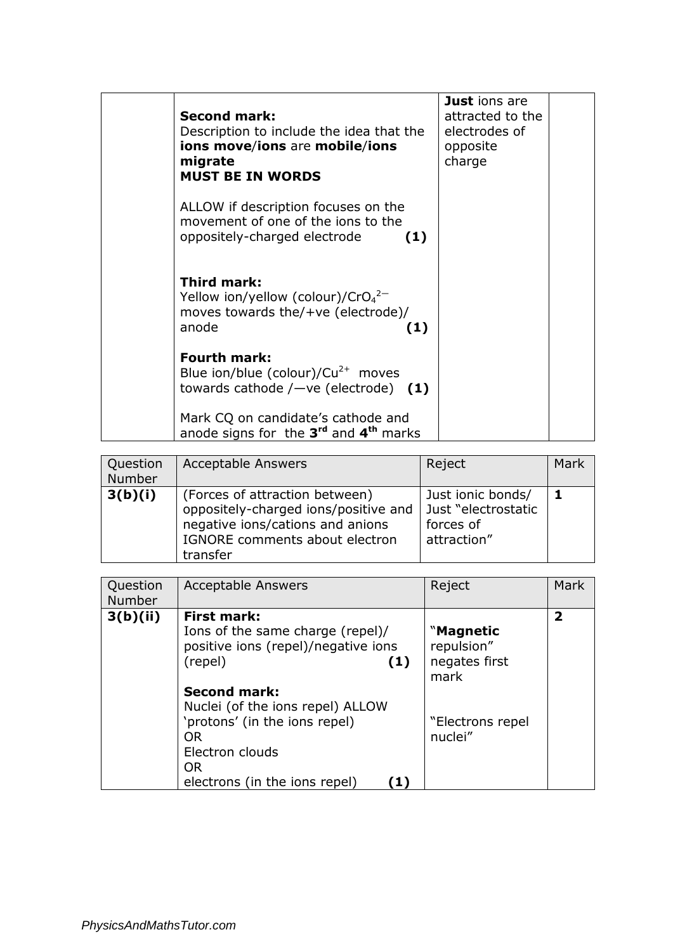| <b>Second mark:</b><br>Description to include the idea that the<br>ions move/ions are mobile/ions<br>migrate<br><b>MUST BE IN WORDS</b> | Just ions are<br>attracted to the<br>electrodes of<br>opposite<br>charge |  |
|-----------------------------------------------------------------------------------------------------------------------------------------|--------------------------------------------------------------------------|--|
| ALLOW if description focuses on the<br>movement of one of the jons to the<br>oppositely-charged electrode<br>(1)                        |                                                                          |  |
| <b>Third mark:</b><br>Yellow ion/yellow (colour)/ $CrO42–$<br>moves towards the/+ve (electrode)/<br>anode<br>(1)                        |                                                                          |  |
| <b>Fourth mark:</b><br>Blue ion/blue (colour)/ $Cu^{2+}$ moves<br>towards cathode $/$ -ve (electrode) (1)                               |                                                                          |  |
| Mark CQ on candidate's cathode and<br>anode signs for the $3^{rd}$ and $4^{th}$ marks                                                   |                                                                          |  |

| Question<br>Number | <b>Acceptable Answers</b>                                                                                                                                | Reject                                                               | Mark |
|--------------------|----------------------------------------------------------------------------------------------------------------------------------------------------------|----------------------------------------------------------------------|------|
| 3(b)(i)            | (Forces of attraction between)<br>oppositely-charged ions/positive and<br>negative ions/cations and anions<br>IGNORE comments about electron<br>transfer | Just ionic bonds/<br>Just "electrostatic<br>forces of<br>attraction" |      |

| Question<br>Number | <b>Acceptable Answers</b>                                                                                                              | Reject                                                 | Mark |
|--------------------|----------------------------------------------------------------------------------------------------------------------------------------|--------------------------------------------------------|------|
| 3(b)(ii)           | <b>First mark:</b><br>Ions of the same charge (repel)/<br>positive ions (repel)/negative ions<br>(repel)<br>(1)<br><b>Second mark:</b> | <b>Magnetic</b><br>repulsion"<br>negates first<br>mark | 2    |
|                    | Nuclei (of the ions repel) ALLOW<br>'protons' (in the ions repel)<br>OR.<br>Electron clouds<br>OR.<br>electrons (in the ions repel)    | "Electrons repel<br>nuclei"                            |      |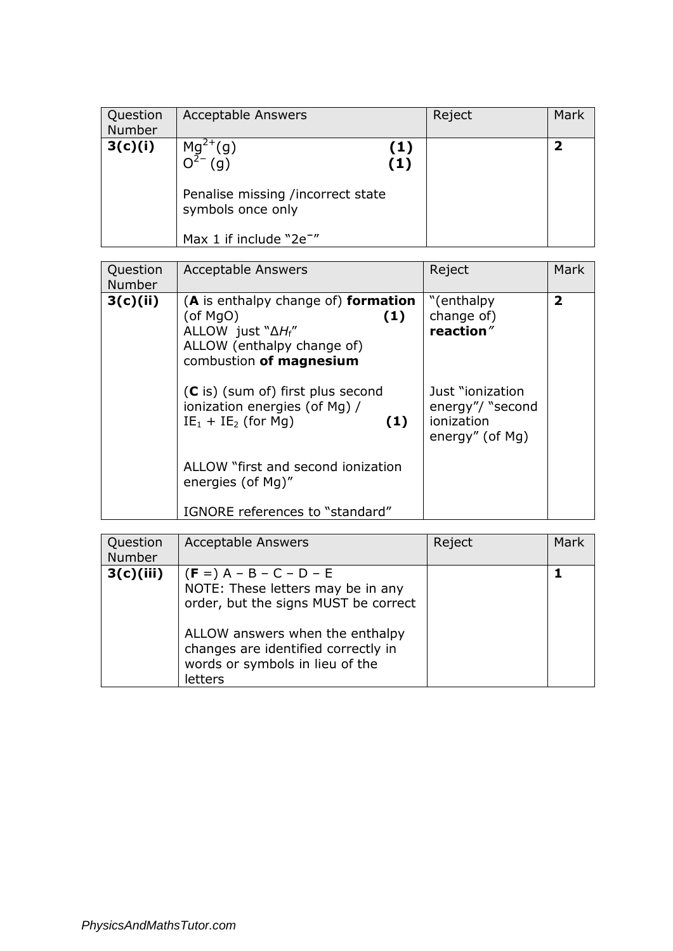| Question<br>Number | <b>Acceptable Answers</b>                                     |            | Reject | Mark |
|--------------------|---------------------------------------------------------------|------------|--------|------|
| 3(c)(i)            | (g)<br>$\left( 9\right)$<br>Penalise missing /incorrect state | (1)<br>(1) |        |      |
|                    | symbols once only<br>Max 1 if include "2e <sup>-"</sup>       |            |        |      |

| Question<br><b>Number</b> | <b>Acceptable Answers</b>                                                                                                                            | Reject                                                                 | <b>Mark</b>             |
|---------------------------|------------------------------------------------------------------------------------------------------------------------------------------------------|------------------------------------------------------------------------|-------------------------|
| 3(c)(ii)                  | (A is enthalpy change of) formation<br>$($ of MgO $)$<br>(1)<br>ALLOW just " $\Delta H_f$ "<br>ALLOW (enthalpy change of)<br>combustion of magnesium | "(enthalpy)<br>change of)<br>reaction"                                 | $\overline{\mathbf{2}}$ |
|                           | $(C$ is) (sum of) first plus second<br>ionization energies (of Mg) /<br>$IE_1 + IE_2$ (for Mg)<br>(1)                                                | Just "ionization"<br>energy"/ "second<br>ionization<br>energy" (of Mg) |                         |
|                           | ALLOW "first and second ionization<br>energies (of Mg)"                                                                                              |                                                                        |                         |
|                           | IGNORE references to "standard"                                                                                                                      |                                                                        |                         |

| Question<br>Number | <b>Acceptable Answers</b>                                                                                                                                                                                                      | Reject | Mark |
|--------------------|--------------------------------------------------------------------------------------------------------------------------------------------------------------------------------------------------------------------------------|--------|------|
| 3(c)(iii)          | $(F =) A - B - C - D - E$<br>NOTE: These letters may be in any<br>order, but the signs MUST be correct<br>ALLOW answers when the enthalpy<br>changes are identified correctly in<br>words or symbols in lieu of the<br>letters |        |      |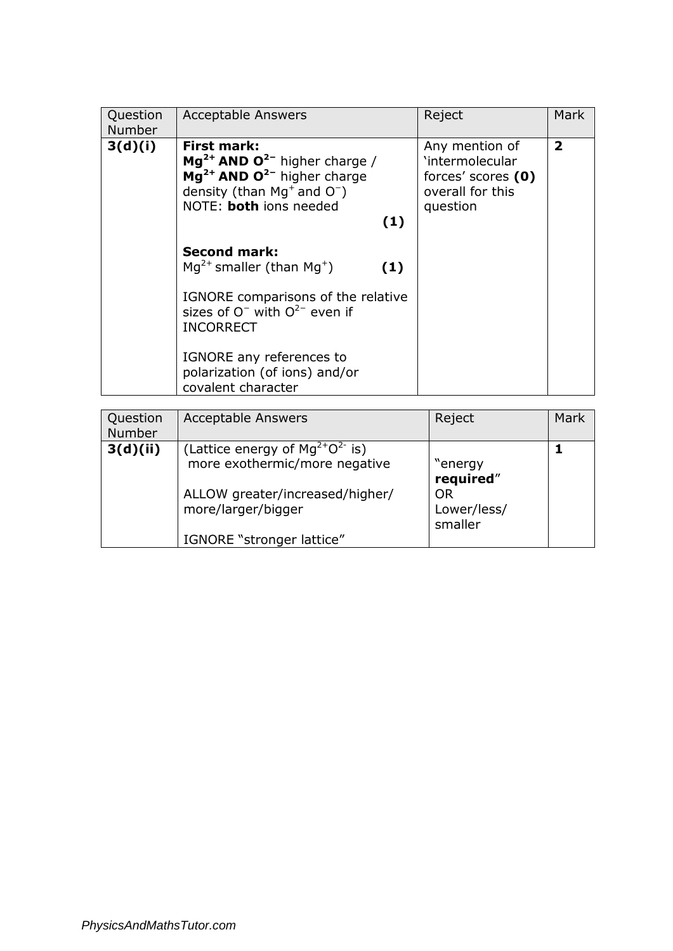| Question<br><b>Number</b> | <b>Acceptable Answers</b>                                                                                                                                                 |     | Reject                                                                                  | <b>Mark</b>    |
|---------------------------|---------------------------------------------------------------------------------------------------------------------------------------------------------------------------|-----|-----------------------------------------------------------------------------------------|----------------|
| 3(d)(i)                   | <b>First mark:</b><br>$Mg^{2+}$ AND O <sup>2-</sup> higher charge /<br>$Mg^{2+}$ AND $Q^{2-}$ higher charge<br>density (than $Mq^+$ and $O^-$ )<br>NOTE: both ions needed | (1) | Any mention of<br>'intermolecular<br>forces' scores (0)<br>overall for this<br>question | $\overline{2}$ |
|                           | <b>Second mark:</b><br>$Mg^{2+}$ smaller (than $Mg^{+}$ )<br>IGNORE comparisons of the relative                                                                           | (1) |                                                                                         |                |
|                           | sizes of $O^-$ with $O^{2-}$ even if<br><b>INCORRECT</b><br>IGNORE any references to<br>polarization (of ions) and/or<br>covalent character                               |     |                                                                                         |                |

| Question<br>Number | <b>Acceptable Answers</b>                                                                                                                                     | Reject                                               | Mark |
|--------------------|---------------------------------------------------------------------------------------------------------------------------------------------------------------|------------------------------------------------------|------|
| 3(d)(ii)           | (Lattice energy of $Mg^{2+}O^{2-}$ is)<br>more exothermic/more negative<br>ALLOW greater/increased/higher/<br>more/larger/bigger<br>IGNORE "stronger lattice" | "energy<br>required"<br>OR<br>Lower/less/<br>smaller |      |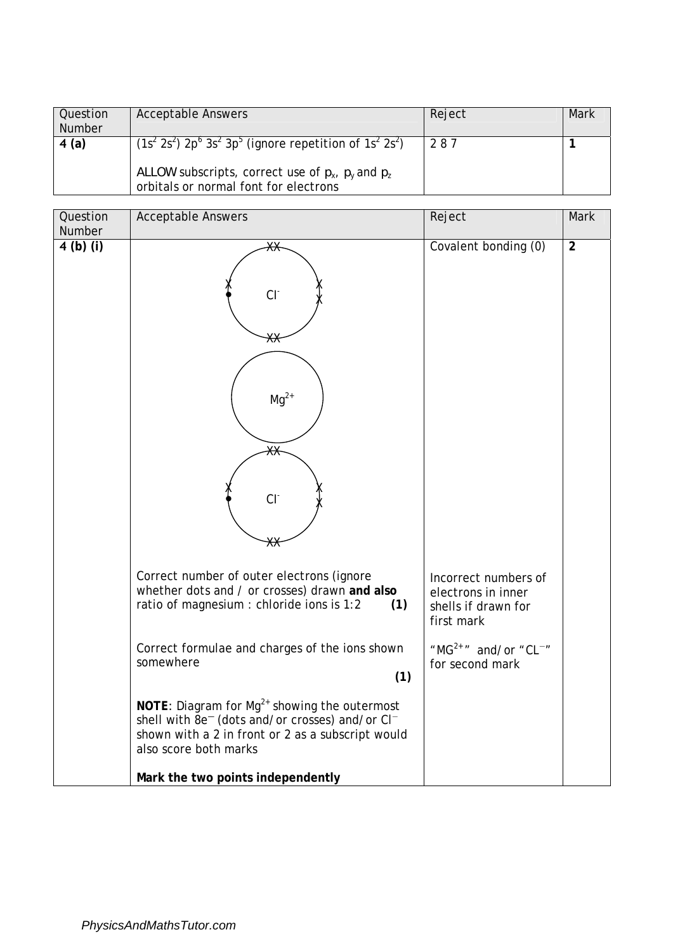| Question      | <b>Acceptable Answers</b>                                                                         | Reject | Mark |
|---------------|---------------------------------------------------------------------------------------------------|--------|------|
| <b>Number</b> |                                                                                                   |        |      |
| 4(a)          | $(1s2 2s2) 2p6 3s2 3p5$ (ignore repetition of 1s <sup>2</sup> 2s <sup>2</sup> )                   | 287    |      |
|               | ALLOW subscripts, correct use of $p_x$ , $p_y$ and $p_z$<br>orbitals or normal font for electrons |        |      |

| Question<br>Number | <b>Acceptable Answers</b>                                                                                                                                                                                         | Reject                                                                          | <b>Mark</b>    |
|--------------------|-------------------------------------------------------------------------------------------------------------------------------------------------------------------------------------------------------------------|---------------------------------------------------------------------------------|----------------|
| $4$ (b) (i)        | ЖӾ<br>CI <sub>1</sub><br>⋇ӿ<br>$Mg^{2+}$<br>ЖӾ<br>CI <sub>1</sub><br>⋇⋇                                                                                                                                           | Covalent bonding (0)                                                            | $\overline{2}$ |
|                    | Correct number of outer electrons (ignore<br>whether dots and / or crosses) drawn and also<br>ratio of magnesium : chloride ions is 1:2<br>(1)                                                                    | Incorrect numbers of<br>electrons in inner<br>shells if drawn for<br>first mark |                |
|                    | Correct formulae and charges of the ions shown<br>somewhere<br>(1)                                                                                                                                                | " $MG2+$ " and/or "CL <sup>-</sup> "<br>for second mark                         |                |
|                    | <b>NOTE:</b> Diagram for $Mg^{2+}$ showing the outermost<br>shell with 8e <sup>-</sup> (dots and/or crosses) and/or Cl <sup>-</sup><br>shown with a 2 in front or 2 as a subscript would<br>also score both marks |                                                                                 |                |
|                    | Mark the two points independently                                                                                                                                                                                 |                                                                                 |                |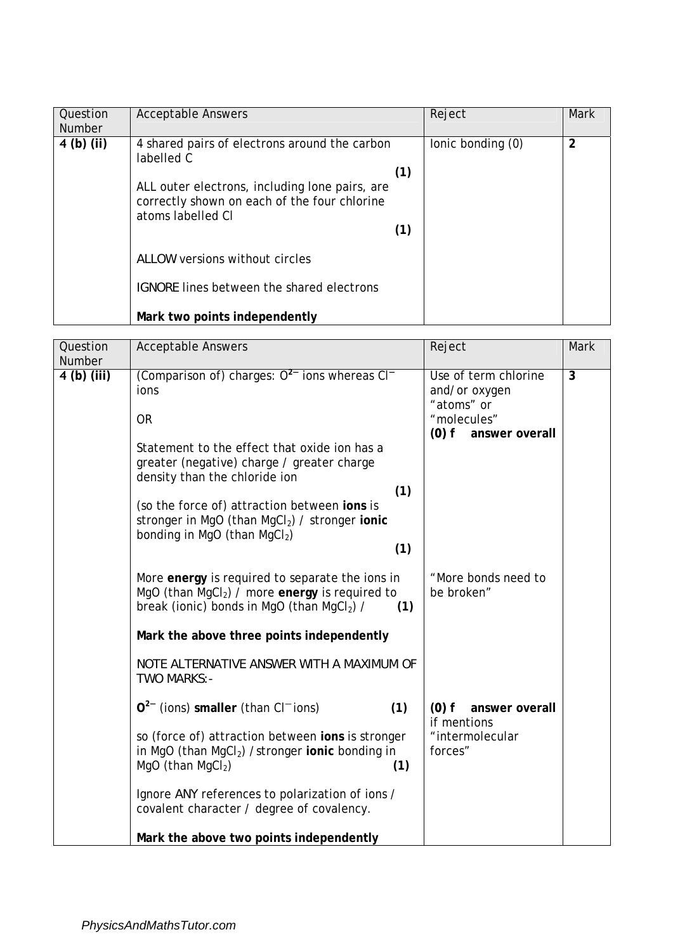| Question<br><b>Number</b> | <b>Acceptable Answers</b>                                                                                           |     | Reject            | Mark |
|---------------------------|---------------------------------------------------------------------------------------------------------------------|-----|-------------------|------|
| $4$ (b) (ii)              | 4 shared pairs of electrons around the carbon<br>labelled C                                                         |     | lonic bonding (0) | 2    |
|                           |                                                                                                                     | (1) |                   |      |
|                           | ALL outer electrons, including lone pairs, are<br>correctly shown on each of the four chlorine<br>atoms labelled CI |     |                   |      |
|                           |                                                                                                                     | (1) |                   |      |
|                           | ALLOW versions without circles                                                                                      |     |                   |      |
|                           | <b>IGNORE</b> lines between the shared electrons                                                                    |     |                   |      |
|                           | Mark two points independently                                                                                       |     |                   |      |

| Question<br><b>Number</b> | <b>Acceptable Answers</b>                                                                                                                                                                                                                                                                                                                                           | Reject                                                                                          | Mark           |
|---------------------------|---------------------------------------------------------------------------------------------------------------------------------------------------------------------------------------------------------------------------------------------------------------------------------------------------------------------------------------------------------------------|-------------------------------------------------------------------------------------------------|----------------|
| $4$ (b) (iii)             | (Comparison of) charges: $O^{2-}$ ions whereas CI <sup>-</sup><br>ions<br><b>OR</b><br>Statement to the effect that oxide ion has a<br>greater (negative) charge / greater charge<br>density than the chloride ion<br>(1)<br>(so the force of) attraction between ions is<br>stronger in MgO (than MgCl2) / stronger ionic<br>bonding in MgO (than $MgCl2$ )<br>(1) | Use of term chlorine<br>and/or oxygen<br>"atoms" or<br>"molecules"<br>$(0)$ f<br>answer overall | $\overline{3}$ |
|                           | More energy is required to separate the ions in<br>MgO (than MgCl <sub>2</sub> ) / more energy is required to<br>break (ionic) bonds in MgO (than MgCl2) /<br>(1)<br>Mark the above three points independently<br>NOTE ALTERNATIVE ANSWER WITH A MAXIMUM OF<br>TWO MARKS:-                                                                                          | "More bonds need to<br>be broken"                                                               |                |
|                           | $Q^{2-}$ (ions) smaller (than CI <sup>-</sup> ions)<br>(1)<br>so (force of) attraction between ions is stronger<br>in MgO (than $MgCl2$ ) /stronger ionic bonding in<br>MgO (than MgCl2)<br>(1)<br>Ignore ANY references to polarization of ions /<br>covalent character / degree of covalency.<br>Mark the above two points independently                          | $(0)$ f<br>answer overall<br>if mentions<br>"intermolecular<br>forces"                          |                |